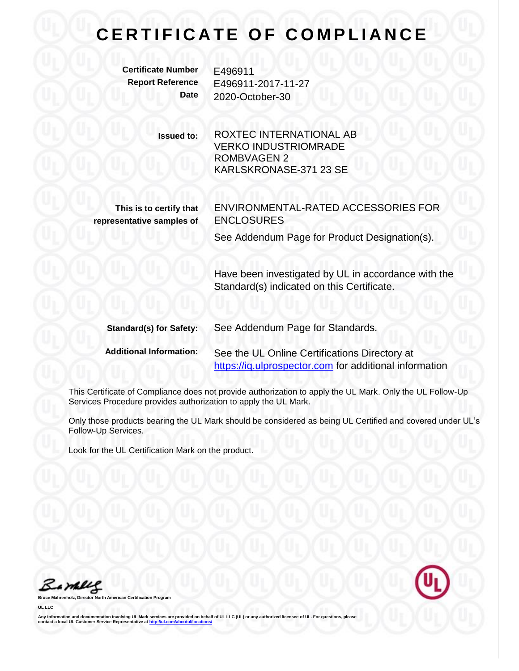## **CERTIFICATE OF COMPLIANCE**

**Certificate Number** E496911

**Report Reference** E496911-2017-11-27 **Date** 2020-October-30

> **Issued to:** ROXTEC INTERNATIONAL AB VERKO INDUSTRIOMRADE ROMBVAGEN 2 KARLSKRONASE-371 23 SE

**This is to certify that representative samples of** ENVIRONMENTAL-RATED ACCESSORIES FOR ENCLOSURES

See Addendum Page for Product Designation(s).

Have been investigated by UL in accordance with the Standard(s) indicated on this Certificate.

| <b>Standard(s) for Safety:</b> | See Addendum Page for Standards.                       |
|--------------------------------|--------------------------------------------------------|
| <b>Additional Information:</b> | See the UL Online Certifications Directory at          |
|                                | https://iq.ulprospector.com for additional information |

This Certificate of Compliance does not provide authorization to apply the UL Mark. Only the UL Follow-Up Services Procedure provides authorization to apply the UL Mark.

Only those products bearing the UL Mark should be considered as being UL Certified and covered under UL's Follow-Up Services.

Look for the UL Certification Mark on the product.

Barney

**Broard** 

**UL LLC**

Any information and documentation involving UL Mark services are provided on behalf of UL LLC (UL) or any authorized licensee of UL. For questions, please<br>contact a local UL Customer Service Representative at <u>http://ul.co</u>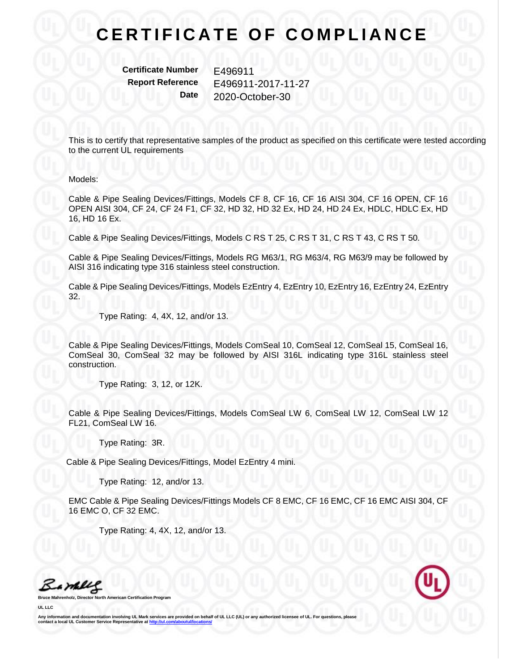## **CERTIFICATE OF COMPLIANCE**

**Certificate Number** E496911

**Report Reference** E496911-2017-11-27 **Date** 2020-October-30

This is to certify that representative samples of the product as specified on this certificate were tested according to the current UL requirements

## Models:

Cable & Pipe Sealing Devices/Fittings, Models CF 8, CF 16, CF 16 AISI 304, CF 16 OPEN, CF 16 OPEN AISI 304, CF 24, CF 24 F1, CF 32, HD 32, HD 32 Ex, HD 24, HD 24 Ex, HDLC, HDLC Ex, HD 16, HD 16 Ex.

Cable & Pipe Sealing Devices/Fittings, Models C RS T 25, C RS T 31, C RS T 43, C RS T 50.

Cable & Pipe Sealing Devices/Fittings, Models RG M63/1, RG M63/4, RG M63/9 may be followed by AISI 316 indicating type 316 stainless steel construction.

Cable & Pipe Sealing Devices/Fittings, Models EzEntry 4, EzEntry 10, EzEntry 16, EzEntry 24, EzEntry 32.

Type Rating: 4, 4X, 12, and/or 13.

Cable & Pipe Sealing Devices/Fittings, Models ComSeal 10, ComSeal 12, ComSeal 15, ComSeal 16, ComSeal 30, ComSeal 32 may be followed by AISI 316L indicating type 316L stainless steel construction.

Type Rating: 3, 12, or 12K.

Cable & Pipe Sealing Devices/Fittings, Models ComSeal LW 6, ComSeal LW 12, ComSeal LW 12 FL21, ComSeal LW 16.

Type Rating: 3R.

Cable & Pipe Sealing Devices/Fittings, Model EzEntry 4 mini.

Type Rating: 12, and/or 13.

EMC Cable & Pipe Sealing Devices/Fittings Models CF 8 EMC, CF 16 EMC, CF 16 EMC AISI 304, CF 16 EMC O, CF 32 EMC.

Type Rating: 4, 4X, 12, and/or 13.

Bambles

**Broard** 

**UL LLC**

Any information and documentation involving UL Mark services are provided on behalf of UL LLC (UL) or any authorized licensee of UL. For questions, please<br>contact a local UL Customer Service Representative at <u>http://ul.co</u>